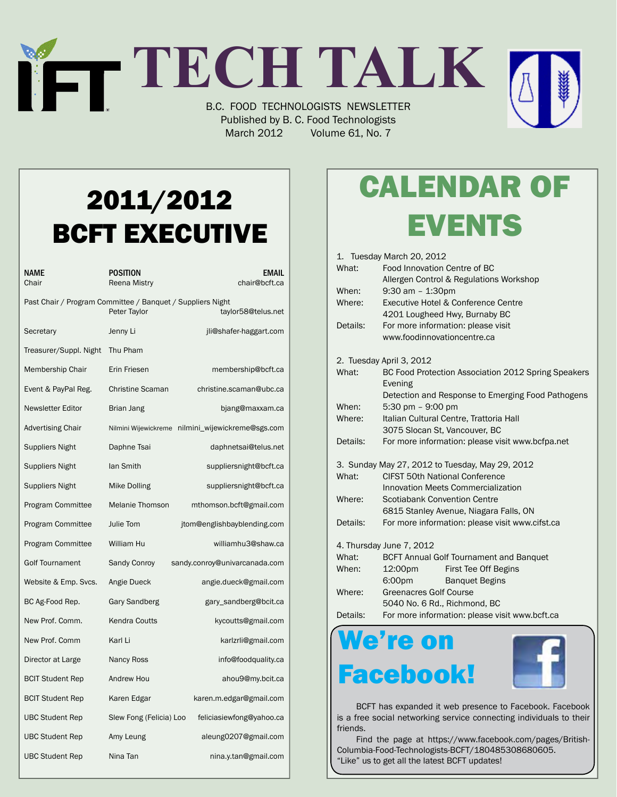# **TECH TALK** B.C. FOOD TECHNOLOGISTS NEWSLETTER

Published by B. C. Food Technologists March 2012 Volume 61, No. 7

## 2011/2012 BCFT EXECUTIVE

| NAME<br>Chair                                                                                    | POSITION<br>Reena Mistry | <b>EMAIL</b><br>chair@bcft.ca                     |  |  |
|--------------------------------------------------------------------------------------------------|--------------------------|---------------------------------------------------|--|--|
| Past Chair / Program Committee / Banquet / Suppliers Night<br>Peter Taylor<br>taylor58@telus.net |                          |                                                   |  |  |
| Secretary                                                                                        | Jenny Li                 | jli@shafer-haggart.com                            |  |  |
| Treasurer/Suppl. Night                                                                           | Thu Pham                 |                                                   |  |  |
| Membership Chair                                                                                 | Erin Friesen             | membership@bcft.ca                                |  |  |
| Event & PayPal Reg.                                                                              | <b>Christine Scaman</b>  | christine.scaman@ubc.ca                           |  |  |
| Newsletter Editor                                                                                | Brian Jang               | bjang@maxxam.ca                                   |  |  |
| <b>Advertising Chair</b>                                                                         |                          | Nilmini Wijewickreme nilmini_wijewickreme@sgs.com |  |  |
| Suppliers Night                                                                                  | Daphne Tsai              | daphnetsai@telus.net                              |  |  |
| <b>Suppliers Night</b>                                                                           | lan Smith                | suppliersnight@bcft.ca                            |  |  |
| Suppliers Night                                                                                  | Mike Dolling             | suppliersnight@bcft.ca                            |  |  |
| Program Committee                                                                                | <b>Melanie Thomson</b>   | mthomson.bcft@gmail.com                           |  |  |
| Program Committee                                                                                | Julie Tom                | jtom@englishbayblending.com                       |  |  |
| Program Committee                                                                                | William Hu               | williamhu3@shaw.ca                                |  |  |
| <b>Golf Tournament</b>                                                                           | Sandy Conroy             | sandy.conroy@univarcanada.com                     |  |  |
| Website & Emp. Svcs.                                                                             | Angie Dueck              | angie.dueck@gmail.com                             |  |  |
| BC Ag-Food Rep.                                                                                  | <b>Gary Sandberg</b>     | gary_sandberg@bcit.ca                             |  |  |
| New Prof. Comm.                                                                                  | <b>Kendra Coutts</b>     | kycoutts@gmail.com                                |  |  |
| New Prof. Comm                                                                                   | Karl Li                  | karlzrli@gmail.com                                |  |  |
| Director at Large                                                                                | <b>Nancy Ross</b>        | info@foodquality.ca                               |  |  |
| <b>BCIT Student Rep</b>                                                                          | Andrew Hou               | ahou9@my.bcit.ca                                  |  |  |
| <b>BCIT Student Rep</b>                                                                          | Karen Edgar              | karen.m.edgar@gmail.com                           |  |  |
| <b>UBC Student Rep</b>                                                                           | Slew Fong (Felicia) Loo  | feliciasiewfong@yahoo.ca                          |  |  |
| <b>UBC Student Rep</b>                                                                           | Amy Leung                | aleung0207@gmail.com                              |  |  |
| <b>UBC Student Rep</b>                                                                           | Nina Tan                 | nina.y.tan@gmail.com                              |  |  |

# Calendar Of **EVENTS**

|          | 1. Tuesday March 20, 2012                                      |  |  |
|----------|----------------------------------------------------------------|--|--|
| What:    | Food Innovation Centre of BC                                   |  |  |
|          | Allergen Control & Regulations Workshop                        |  |  |
| When:    | 9:30 am - 1:30pm                                               |  |  |
| Where:   | Executive Hotel & Conference Centre                            |  |  |
|          | 4201 Lougheed Hwy, Burnaby BC                                  |  |  |
| Details: | For more information: please visit                             |  |  |
|          | www.foodinnovationcentre.ca                                    |  |  |
|          | 2. Tuesday April 3, 2012                                       |  |  |
| What:    | BC Food Protection Association 2012 Spring Speakers<br>Evening |  |  |
|          | Detection and Response to Emerging Food Pathogens              |  |  |
| When:    | 5:30 pm $-$ 9:00 pm                                            |  |  |
| Where:   | Italian Cultural Centre, Trattoria Hall                        |  |  |
|          | 3075 Slocan St, Vancouver, BC                                  |  |  |
| Details: | For more information: please visit www.bcfpa.net               |  |  |
|          | 3. Sunday May 27, 2012 to Tuesday, May 29, 2012                |  |  |
| What:    | <b>CIFST 50th National Conference</b>                          |  |  |
|          | Innovation Meets Commercialization                             |  |  |
| Where:   | <b>Scotiabank Convention Centre</b>                            |  |  |
|          | 6815 Stanley Avenue, Niagara Falls, ON                         |  |  |
| Details: | For more information: please visit www.cifst.ca                |  |  |
|          | 4. Thursday June 7, 2012                                       |  |  |
| What:    | <b>BCFT Annual Golf Tournament and Banquet</b>                 |  |  |
| When:    | 12:00pm<br>First Tee Off Begins                                |  |  |
|          | 6:00pm<br><b>Banquet Begins</b>                                |  |  |
| Where:   | Greenacres Golf Course                                         |  |  |
|          | 5040 No. 6 Rd., Richmond, BC                                   |  |  |
| Details: | For more information: please visit www.bcft.ca                 |  |  |
|          |                                                                |  |  |

### We're on Facebook!



 BCFT has expanded it web presence to Facebook. Facebook is a free social networking service connecting individuals to their friends.

Find the page at https://www.facebook.com/pages/British-Columbia-Food-Technologists-BCFT/180485308680605. "Like" us to get all the latest BCFT updates!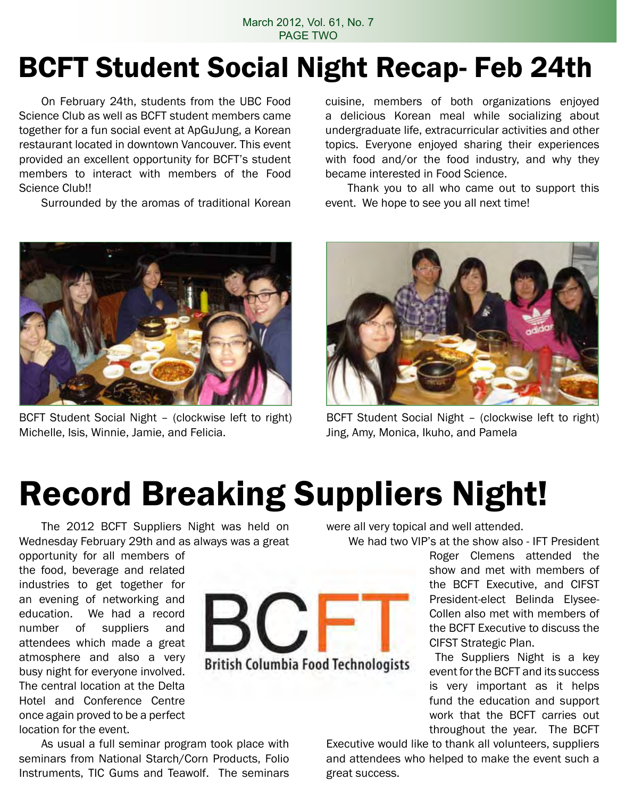March 2012, Vol. 61, No. 7 PAGE TWO

## BCFT Student Social Night Recap- Feb 24th

On February 24th, students from the UBC Food Science Club as well as BCFT student members came together for a fun social event at ApGuJung, a Korean restaurant located in downtown Vancouver. This event provided an excellent opportunity for BCFT's student members to interact with members of the Food Science Club!!

Surrounded by the aromas of traditional Korean



BCFT Student Social Night – (clockwise left to right) Michelle, Isis, Winnie, Jamie, and Felicia.

cuisine, members of both organizations enjoyed a delicious Korean meal while socializing about undergraduate life, extracurricular activities and other topics. Everyone enjoyed sharing their experiences with food and/or the food industry, and why they became interested in Food Science.

 Thank you to all who came out to support this event. We hope to see you all next time!



BCFT Student Social Night – (clockwise left to right) Jing, Amy, Monica, Ikuho, and Pamela

# Record Breaking Suppliers Night!

 The 2012 BCFT Suppliers Night was held on Wednesday February 29th and as always was a great

opportunity for all members of the food, beverage and related industries to get together for an evening of networking and education. We had a record number of suppliers and attendees which made a great atmosphere and also a very busy night for everyone involved. The central location at the Delta Hotel and Conference Centre once again proved to be a perfect location for the event.



 As usual a full seminar program took place with seminars from National Starch/Corn Products, Folio Instruments, TIC Gums and Teawolf. The seminars

were all very topical and well attended.

We had two VIP's at the show also - IFT President

Roger Clemens attended the show and met with members of the BCFT Executive, and CIFST President-elect Belinda Elysee-Collen also met with members of the BCFT Executive to discuss the CIFST Strategic Plan.

 The Suppliers Night is a key event for the BCFT and its success is very important as it helps fund the education and support work that the BCFT carries out throughout the year. The BCFT

Executive would like to thank all volunteers, suppliers and attendees who helped to make the event such a great success.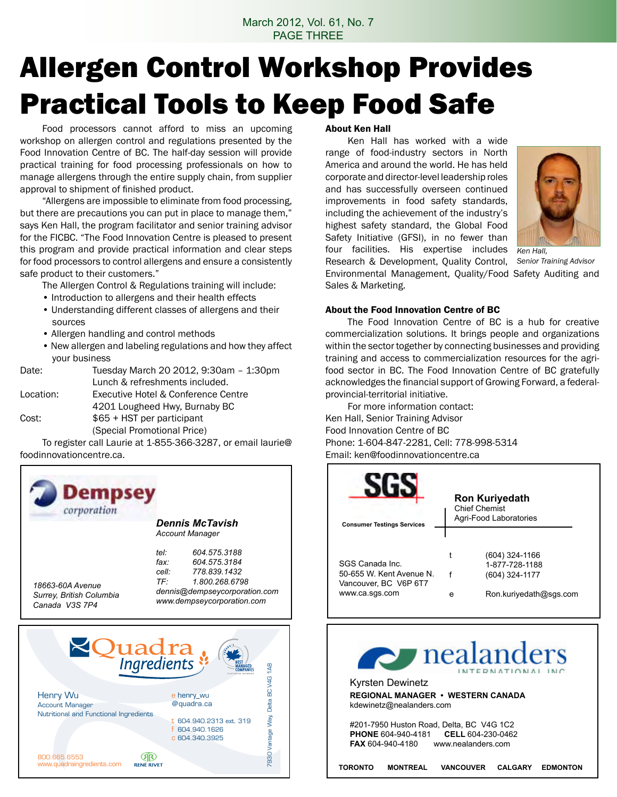#### March 2012, Vol. 61, No. 7 PAGE THREE

# Allergen Control Workshop Provides Practical Tools to Keep Food Safe

 Food processors cannot afford to miss an upcoming workshop on allergen control and regulations presented by the Food Innovation Centre of BC. The half-day session will provide practical training for food processing professionals on how to manage allergens through the entire supply chain, from supplier approval to shipment of finished product.

 "Allergens are impossible to eliminate from food processing, but there are precautions you can put in place to manage them," says Ken Hall, the program facilitator and senior training advisor for the FICBC. "The Food Innovation Centre is pleased to present this program and provide practical information and clear steps for food processors to control allergens and ensure a consistently safe product to their customers."

The Allergen Control & Regulations training will include:

- Introduction to allergens and their health effects
- Understanding different classes of allergens and their sources
- Allergen handling and control methods
- New allergen and labeling regulations and how they affect your business
- Date: Tuesday March 20 2012, 9:30am 1:30pm Lunch & refreshments included.

Location: Executive Hotel & Conference Centre 4201 Lougheed Hwy, Burnaby BC

Cost:  $$65 + HST$  per participant

 (Special Promotional Price)

 To register call Laurie at 1-855-366-3287, or email laurie@ foodinnovationcentre.ca.



#### About Ken Hall

 Ken Hall has worked with a wide range of food-industry sectors in North America and around the world. He has held corporate and director-level leadership roles and has successfully overseen continued improvements in food safety standards, including the achievement of the industry's highest safety standard, the Global Food Safety Initiative (GFSI), in no fewer than four facilities. His expertise includes Research & Development, Quality Control,



*Ken Hall, Senior Training Advisor*

Environmental Management, Quality/Food Safety Auditing and Sales & Marketing.

#### About the Food Innovation Centre of BC

 The Food Innovation Centre of BC is a hub for creative commercialization solutions. It brings people and organizations within the sector together by connecting businesses and providing training and access to commercialization resources for the agrifood sector in BC. The Food Innovation Centre of BC gratefully acknowledges the financial support of Growing Forward, a federalprovincial-territorial initiative.

For more information contact: Ken Hall, Senior Training Advisor Food Innovation Centre of BC Phone: 1-604-847-2281, Cell: 778-998-5314 Email: ken@foodinnovationcentre.ca

| <b>Consumer Testings Services</b>                                                    |        | <b>Ron Kuriyedath</b><br><b>Chief Chemist</b><br>Agri-Food Laboratories      |
|--------------------------------------------------------------------------------------|--------|------------------------------------------------------------------------------|
| SGS Canada Inc.<br>50-655 W Kent Avenue N<br>Vancouver, BC V6P 6T7<br>www.ca.sgs.com | f<br>e | (604) 324-1166<br>1-877-728-1188<br>(604) 324-1177<br>Ron.kuriyedath@sgs.com |

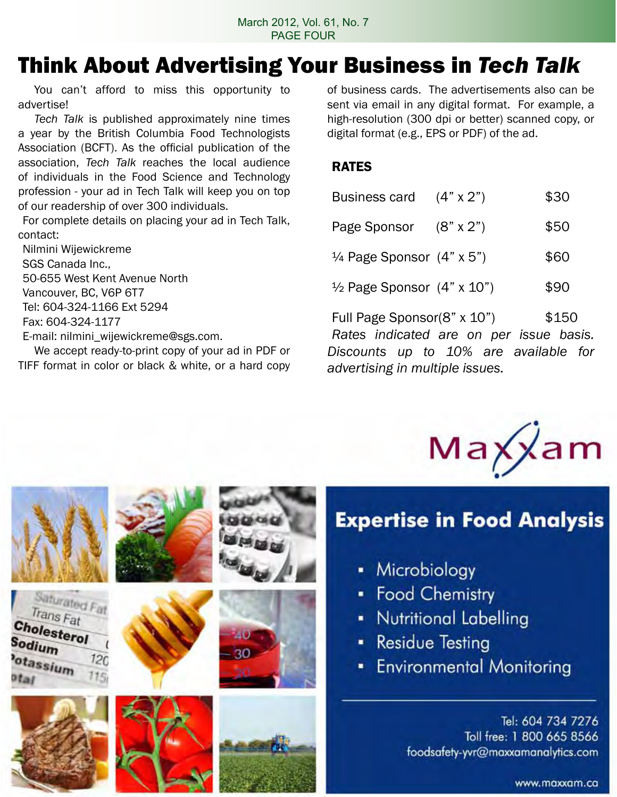### Think About Advertising Your Business in *Tech Talk*

You can't afford to miss this opportunity to advertise!

*Tech Talk* is published approximately nine times a year by the British Columbia Food Technologists Association (BCFT). As the official publication of the association, *Tech Talk* reaches the local audience of individuals in the Food Science and Technology profession - your ad in Tech Talk will keep you on top of our readership of over 300 individuals.

For complete details on placing your ad in Tech Talk, contact:

Nilmini Wijewickreme SGS Canada Inc., 50-655 West Kent Avenue North Vancouver, BC, V6P 6T7 Tel: 604-324-1166 Ext 5294 Fax: 604-324-1177 E-mail: nilmini\_wijewickreme@sgs.com.

 We accept ready-to-print copy of your ad in PDF or TIFF format in color or black & white, or a hard copy of business cards. The advertisements also can be sent via email in any digital format. For example, a high-resolution (300 dpi or better) scanned copy, or digital format (e.g., EPS or PDF) of the ad.

#### RATES

| Business card                                | $(4" \times 2")$ | \$30  |
|----------------------------------------------|------------------|-------|
| Page Sponsor                                 | $(8" \times 2")$ | \$50  |
| $\frac{1}{4}$ Page Sponsor $(4" \times 5")$  |                  | \$60  |
| $\frac{1}{2}$ Page Sponsor $(4" \times 10")$ |                  | \$90  |
| Full Page Sponsor(8" x 10")                  |                  | \$150 |

*Rates indicated are on per issue basis. Discounts up to 10% are available for advertising in multiple issues.*



### **Expertise in Food Analysis**

- Microbiology
- Food Chemistry
- Nutritional Labelling
- **Residue Testing**
- **Environmental Monitoring**

Tel: 604 734 7276 Toll free: 1 800 665 8566 foodsafety-yvr@maxxamanalytics.com

www.maxxam.ca



Saturated Fat Trans Fat

 $12<sub>0</sub>$ 

Cholesterol

otassium

Sodium







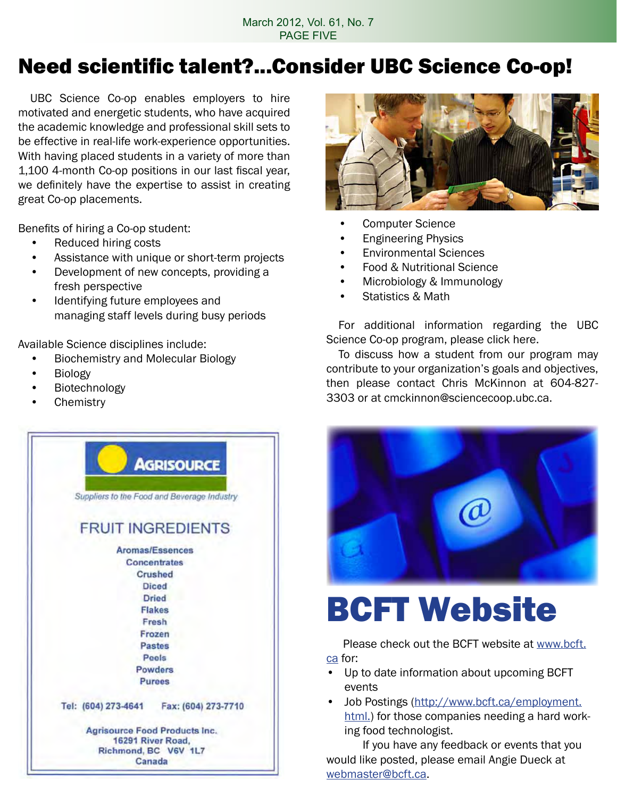#### March 2012, Vol. 61, No. 7 PAGE FIVE

### Need scientific talent?...Consider UBC Science Co-op!

 UBC Science Co-op enables employers to hire motivated and energetic students, who have acquired the academic knowledge and professional skill sets to be effective in real-life work-experience opportunities. With having placed students in a variety of more than 1,100 4-month Co-op positions in our last fiscal year, we definitely have the expertise to assist in creating great Co-op placements.

Benefits of hiring a Co-op student:

- Reduced hiring costs
- Assistance with unique or short-term projects
- Development of new concepts, providing a fresh perspective
- Identifying future employees and managing staff levels during busy periods

Available Science disciplines include:

- • Biochemistry and Molecular Biology
- **Biology**
- Biotechnology
- **Chemistry**





- **Computer Science**
- **Engineering Physics**
- **Environmental Sciences**
- **Food & Nutritional Science**
- Microbiology & Immunology
- **Statistics & Math**

 For additional information regarding the UBC Science Co-op program, please click here.

 To discuss how a student from our program may contribute to your organization's goals and objectives, then please contact Chris McKinnon at 604-827- 3303 or at cmckinnon@sciencecoop.ubc.ca.



# BCFT Website

 Please check out the BCFT website at www.bcft. ca for:

- • Up to date information about upcoming BCFT events
- Job Postings (http://www.bcft.ca/employment. html.) for those companies needing a hard working food technologist.

 If you have any feedback or events that you would like posted, please email Angie Dueck at webmaster@bcft.ca.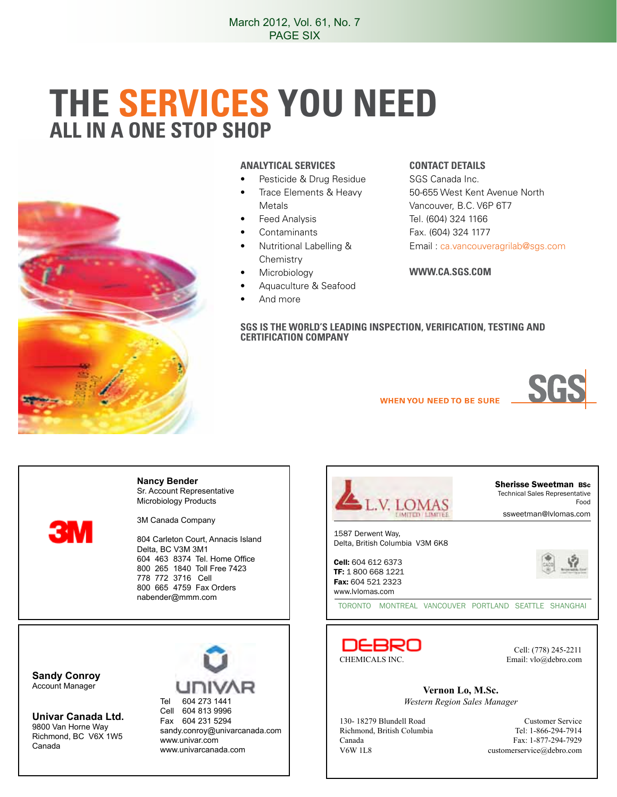### **THE SERVICES YOu NEED ALL IN A ONE STOP SHOP**



#### **ANALYTICAL SERVICES**

- Pesticide & Drug Residue
- Trace Elements & Heavy Metals
- **Feed Analysis**
- **Contaminants**
- **Nutritional Labelling & Chemistry**
- **Microbiology**
- Aquaculture & Seafood
- And more

#### **CONTACT DETAILS**

SGS Canada Inc. 50-655 West Kent Avenue North Vancouver, B.C. V6P 6T7 Tel. (604) 324 1166 Fax. (604) 324 1177 Email : ca.vancouveragrilab@sgs.com

**WWW.CA.SGS.COM**

**SGS IS THE WORLD'S LEADING INSPECTION, VERIFICATION, TESTING AND CERTIFICATION COMPANY**



**WHEN YOU NEED TO BE SURE** 



3M Canada Company

804 Carleton Court, Annacis Island Delta, BC V3M 3M1 604 463 8374 Tel. Home Office 800 265 1840 Toll Free 7423 778 772 3716 Cell 800 665 4759 Fax Orders nabender@mmm.com



#### Sherisse Sweetman BSc Technical Sales Representative Food ssweetman@lvlomas.com

1587 Derwent Way, Delta, British Columbia V3M 6K8

Cell: 604 612 6373 TF: 1 800 668 1221 Fax: 604 521 2323 www.lvlomas.com



TORONTO MONTREAL VANCOUVER PORTLAND SEATTLE SHANGHAI

**Sandy Conroy** Account Manager

æм

**Univar Canada Ltd.** 9800 Van Horne Way Richmond, BC V6X 1W5 Canada



Cell 604 813 9996 Fax 604 231 5294 sandy.conroy@univarcanada.com www.univar.com www.univarcanada.com



Cell: (778) 245-2211

**Vernon Lo, M.Sc.** *Western Region Sales Manager*

130- 18279 Blundell Road Customer Service<br>
Richmond, British Columbia<br>
Tel: 1-866-294-7914 Richmond, British Columbia

Canada Fax: 1-877-294-7929<br>V6W 1L8 customerservice@debro.com customerservice@debro.com